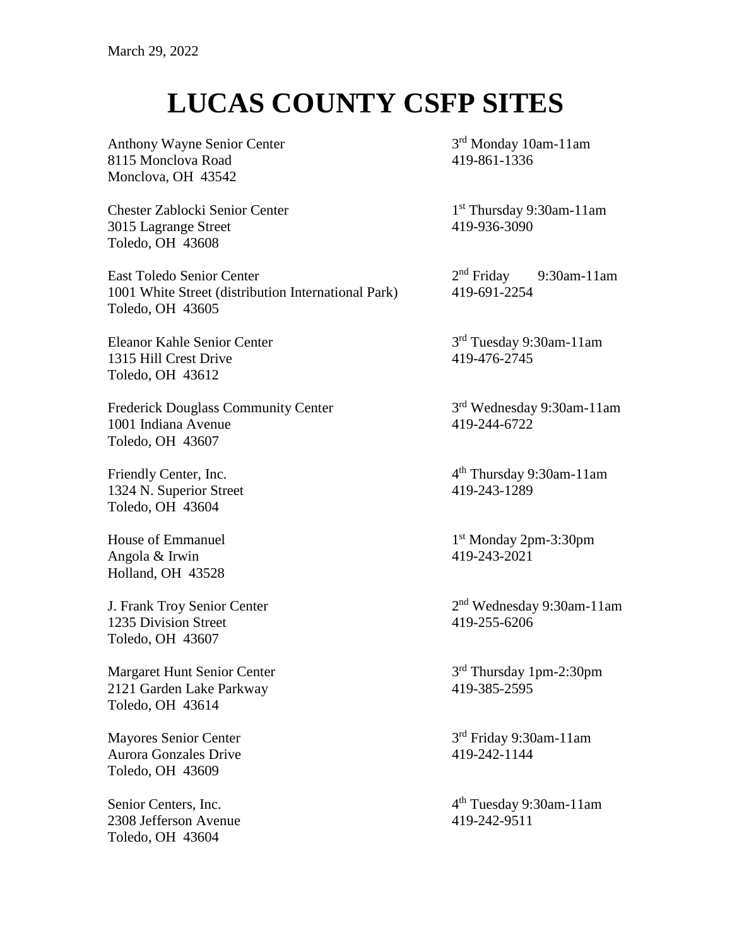## **LUCAS COUNTY CSFP SITES**

Anthony Wayne Senior Center 3 8115 Monclova Road 419-861-1336 Monclova, OH 43542

Chester Zablocki Senior Center 1 3015 Lagrange Street 419-936-3090 Toledo, OH 43608

East Toledo Senior Center 2<sup>nd</sup> Friday 1001 White Street (distribution International Park) 419-691-2254 Toledo, OH 43605

Eleanor Kahle Senior Center 3 1315 Hill Crest Drive 419-476-2745 Toledo, OH 43612

Frederick Douglass Community Center 3 1001 Indiana Avenue 419-244-6722 Toledo, OH 43607

Friendly Center, Inc. 4 1324 N. Superior Street 419-243-1289 Toledo, OH 43604

House of Emmanuel 1 Angola & Irwin 419-243-2021 Holland, OH 43528

J. Frank Troy Senior Center 2<sup>nd</sup> Wednesday<br>
1235 Division Street 419-255-6206 1235 Division Street Toledo, OH 43607

Margaret Hunt Senior Center 2121 Garden Lake Parkway 419-385-2595 Toledo, OH 43614

Mayores Senior Center 3 Aurora Gonzales Drive 419-242-1144 Toledo, OH 43609

Senior Centers, Inc. 4 2308 Jefferson Avenue 419-242-9511 Toledo, OH 43604

 $3<sup>rd</sup>$  Monday 10am-11am

1<sup>st</sup> Thursday 9:30am-11am

9:30am-11am

3<sup>rd</sup> Tuesday 9:30am-11am

3rd Wednesday 9:30am-11am

th Thursday 9:30am-11am

1<sup>st</sup> Monday 2pm-3:30pm

2<sup>nd</sup> Wednesday 9:30am-11am

3<sup>rd</sup> Thursday 1pm-2:30pm

 $3<sup>rd</sup>$  Friday 9:30am-11am

th Tuesday 9:30am-11am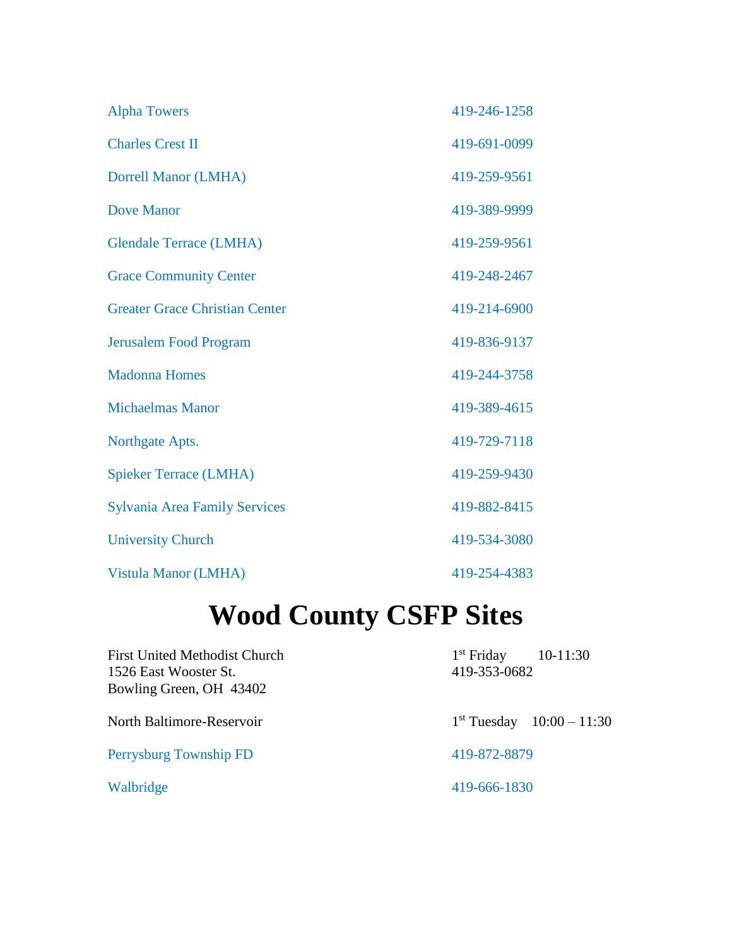| <b>Alpha Towers</b>                   | 419-246-1258 |
|---------------------------------------|--------------|
| <b>Charles Crest II</b>               | 419-691-0099 |
| <b>Dorrell Manor (LMHA)</b>           | 419-259-9561 |
| <b>Dove Manor</b>                     | 419-389-9999 |
| <b>Glendale Terrace (LMHA)</b>        | 419-259-9561 |
| <b>Grace Community Center</b>         | 419-248-2467 |
| <b>Greater Grace Christian Center</b> | 419-214-6900 |
| <b>Jerusalem Food Program</b>         | 419-836-9137 |
| <b>Madonna Homes</b>                  | 419-244-3758 |
| <b>Michaelmas Manor</b>               | 419-389-4615 |
| Northgate Apts.                       | 419-729-7118 |
| <b>Spieker Terrace (LMHA)</b>         | 419-259-9430 |
| <b>Sylvania Area Family Services</b>  | 419-882-8415 |
| <b>University Church</b>              | 419-534-3080 |
| Vistula Manor (LMHA)                  | 419-254-4383 |

# **Wood County CSFP Sites**

| <b>First United Methodist Church</b><br>1526 East Wooster St.<br>Bowling Green, OH 43402 | $1st$ Friday<br>$10-11:30$<br>419-353-0682 |
|------------------------------------------------------------------------------------------|--------------------------------------------|
| North Baltimore-Reservoir                                                                | $1st$ Tuesday $10:00 - 11:30$              |
| Perrysburg Township FD                                                                   | 419-872-8879                               |
| Walbridge                                                                                | 419-666-1830                               |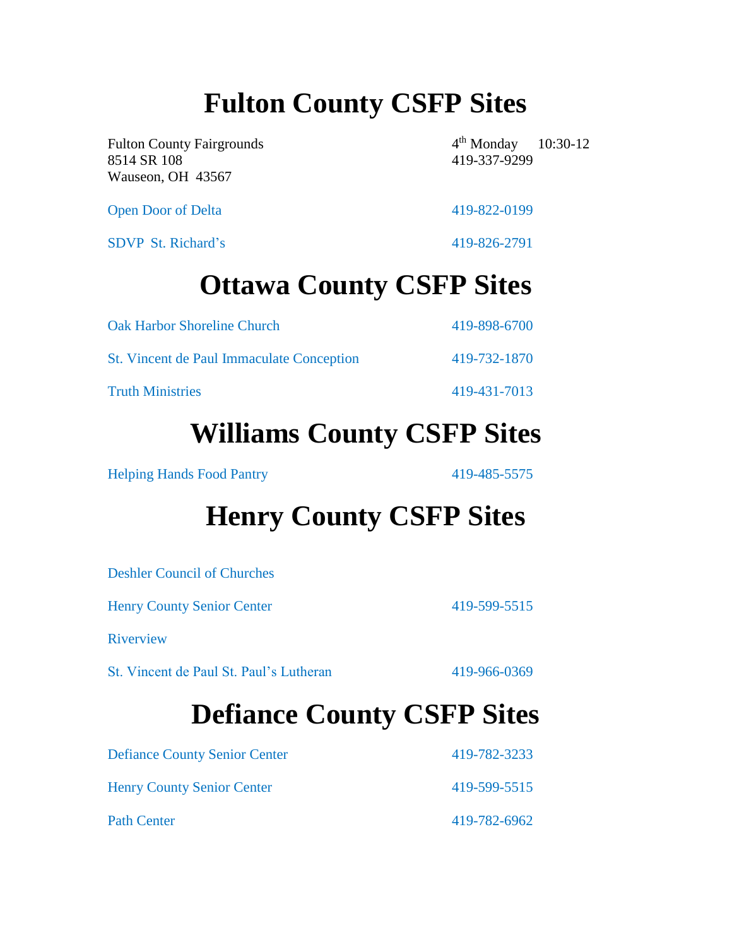## **Fulton County CSFP Sites**

Fulton County Fairgrounds 4 8514 SR 108 419-337-9299 Wauseon, OH 43567

 $4<sup>th</sup>$  Monday 10:30-12

Open Door of Delta 419-822-0199

SDVP St. Richard's 419-826-2791

#### **Ottawa County CSFP Sites**

| <b>Oak Harbor Shoreline Church</b>        | 419-898-6700 |
|-------------------------------------------|--------------|
| St. Vincent de Paul Immaculate Conception | 419-732-1870 |
| <b>Truth Ministries</b>                   | 419-431-7013 |

#### **Williams County CSFP Sites**

Helping Hands Food Pantry 419-485-5575

### **Henry County CSFP Sites**

| <b>Defiance County CSFP Sites</b>       |              |
|-----------------------------------------|--------------|
| St. Vincent de Paul St. Paul's Lutheran | 419-966-0369 |
| Riverview                               |              |
| <b>Henry County Senior Center</b>       | 419-599-5515 |
| <b>Deshler Council of Churches</b>      |              |

| <b>Defiance County Senior Center</b> | 419-782-3233 |
|--------------------------------------|--------------|
| <b>Henry County Senior Center</b>    | 419-599-5515 |
| <b>Path Center</b>                   | 419-782-6962 |